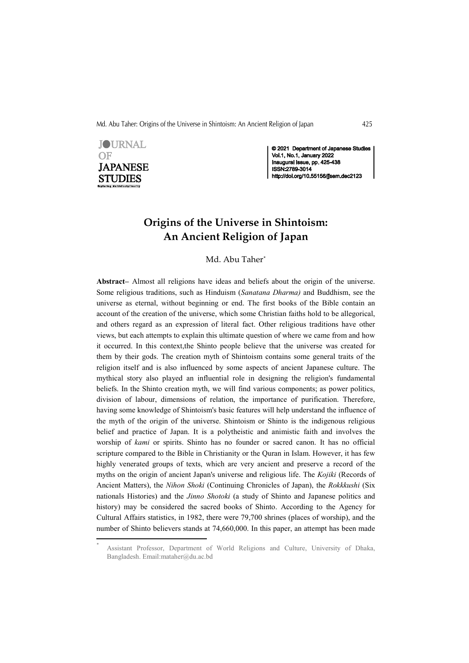Md. Abu Taher: Origins of the Universe in Shintoism: An Ancient Religion of Japan 425



© 2021 Department of Japanese Studies Vol.1, No.1, January 2022<br>Inaugural Issue, pp. 425-438 ISSN:2789-3014 http://doi.org/10.55156/jjsem.dec2123

# Origins of the Universe in Shintoism: An Ancient Religion of Japan

Md. Abu Taher\*

Abstract– Almost all religions have ideas and beliefs about the origin of the universe. Some religious traditions, such as Hinduism (Sanatana Dharma) and Buddhism, see the universe as eternal, without beginning or end. The first books of the Bible contain an account of the creation of the universe, which some Christian faiths hold to be allegorical, and others regard as an expression of literal fact. Other religious traditions have other views, but each attempts to explain this ultimate question of where we came from and how it occurred. In this context,the Shinto people believe that the universe was created for them by their gods. The creation myth of Shintoism contains some general traits of the religion itself and is also influenced by some aspects of ancient Japanese culture. The mythical story also played an influential role in designing the religion's fundamental beliefs. In the Shinto creation myth, we will find various components; as power politics, division of labour, dimensions of relation, the importance of purification. Therefore, having some knowledge of Shintoism's basic features will help understand the influence of the myth of the origin of the universe. Shintoism or Shinto is the indigenous religious belief and practice of Japan. It is a polytheistic and animistic faith and involves the worship of kami or spirits. Shinto has no founder or sacred canon. It has no official scripture compared to the Bible in Christianity or the Quran in Islam. However, it has few highly venerated groups of texts, which are very ancient and preserve a record of the myths on the origin of ancient Japan's universe and religious life. The Kojiki (Records of Ancient Matters), the Nihon Shoki (Continuing Chronicles of Japan), the Rokkkushi (Six nationals Histories) and the *Jinno Shotoki* (a study of Shinto and Japanese politics and history) may be considered the sacred books of Shinto. According to the Agency for Cultural Affairs statistics, in 1982, there were 79,700 shrines (places of worship), and the number of Shinto believers stands at 74,660,000. In this paper, an attempt has been made

 <sup>\*</sup> Assistant Professor, Department of World Religions and Culture, University of Dhaka, Bangladesh. Email:mataher@du.ac.bd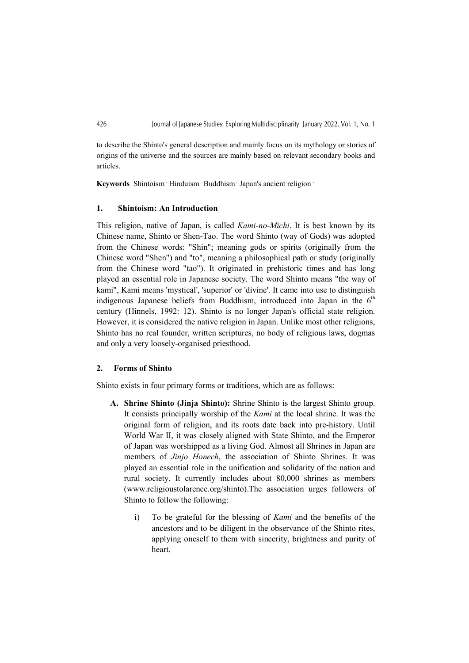to describe the Shinto's general description and mainly focus on its mythology or stories of origins of the universe and the sources are mainly based on relevant secondary books and articles.

Keywords Shintoism Hinduism Buddhism Japan's ancient religion

### 1. Shintoism: An Introduction

This religion, native of Japan, is called Kami-no-Michi. It is best known by its Chinese name, Shinto or Shen-Tao. The word Shinto (way of Gods) was adopted from the Chinese words: "Shin"; meaning gods or spirits (originally from the Chinese word "Shen") and "to", meaning a philosophical path or study (originally from the Chinese word "tao"). It originated in prehistoric times and has long played an essential role in Japanese society. The word Shinto means "the way of kami", Kami means 'mystical', 'superior' or 'divine'. It came into use to distinguish indigenous Japanese beliefs from Buddhism, introduced into Japan in the  $6<sup>th</sup>$ century (Hinnels, 1992: 12). Shinto is no longer Japan's official state religion. However, it is considered the native religion in Japan. Unlike most other religions, Shinto has no real founder, written scriptures, no body of religious laws, dogmas and only a very loosely-organised priesthood.

# 2. Forms of Shinto

Shinto exists in four primary forms or traditions, which are as follows:

- A. Shrine Shinto (Jinja Shinto): Shrine Shinto is the largest Shinto group. It consists principally worship of the Kami at the local shrine. It was the original form of religion, and its roots date back into pre-history. Until World War II, it was closely aligned with State Shinto, and the Emperor of Japan was worshipped as a living God. Almost all Shrines in Japan are members of *Jinjo Honech*, the association of Shinto Shrines. It was played an essential role in the unification and solidarity of the nation and rural society. It currently includes about 80,000 shrines as members (www.religioustolarence.org/shinto).The association urges followers of Shinto to follow the following:
	- i) To be grateful for the blessing of Kami and the benefits of the ancestors and to be diligent in the observance of the Shinto rites, applying oneself to them with sincerity, brightness and purity of heart.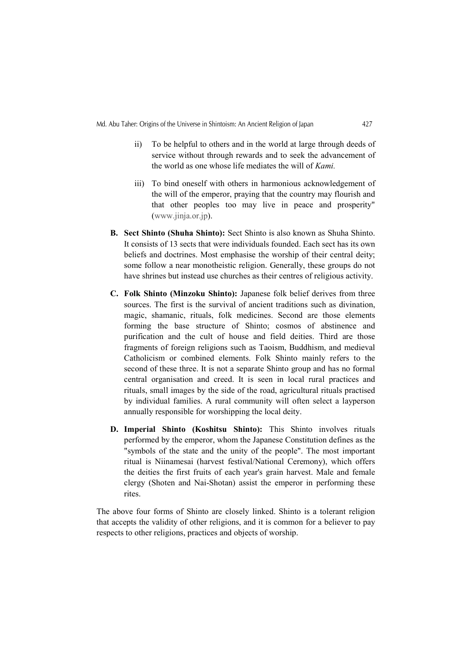- ii) To be helpful to others and in the world at large through deeds of service without through rewards and to seek the advancement of the world as one whose life mediates the will of Kami.
- iii) To bind oneself with others in harmonious acknowledgement of the will of the emperor, praying that the country may flourish and that other peoples too may live in peace and prosperity" (www.jinja.or.jp).
- B. Sect Shinto (Shuha Shinto): Sect Shinto is also known as Shuha Shinto. It consists of 13 sects that were individuals founded. Each sect has its own beliefs and doctrines. Most emphasise the worship of their central deity; some follow a near monotheistic religion. Generally, these groups do not have shrines but instead use churches as their centres of religious activity.
- C. Folk Shinto (Minzoku Shinto): Japanese folk belief derives from three sources. The first is the survival of ancient traditions such as divination, magic, shamanic, rituals, folk medicines. Second are those elements forming the base structure of Shinto; cosmos of abstinence and purification and the cult of house and field deities. Third are those fragments of foreign religions such as Taoism, Buddhism, and medieval Catholicism or combined elements. Folk Shinto mainly refers to the second of these three. It is not a separate Shinto group and has no formal central organisation and creed. It is seen in local rural practices and rituals, small images by the side of the road, agricultural rituals practised by individual families. A rural community will often select a layperson annually responsible for worshipping the local deity.
- D. Imperial Shinto (Koshitsu Shinto): This Shinto involves rituals performed by the emperor, whom the Japanese Constitution defines as the "symbols of the state and the unity of the people". The most important ritual is Niinamesai (harvest festival/National Ceremony), which offers the deities the first fruits of each year's grain harvest. Male and female clergy (Shoten and Nai-Shotan) assist the emperor in performing these rites.

The above four forms of Shinto are closely linked. Shinto is a tolerant religion that accepts the validity of other religions, and it is common for a believer to pay respects to other religions, practices and objects of worship.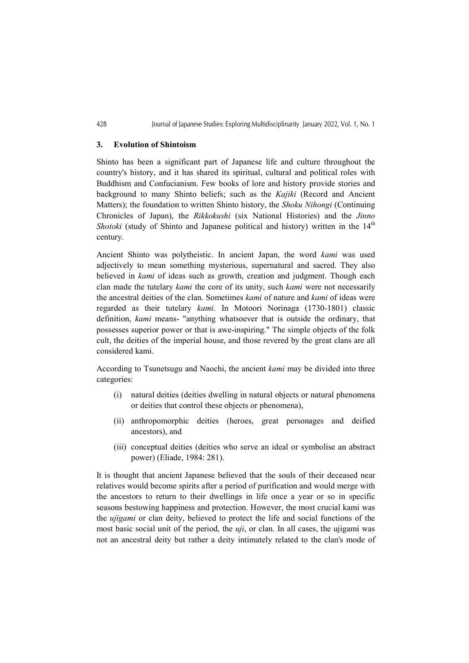### 3. Evolution of Shintoism

Shinto has been a significant part of Japanese life and culture throughout the country's history, and it has shared its spiritual, cultural and political roles with Buddhism and Confucianism. Few books of lore and history provide stories and background to many Shinto beliefs; such as the Kajiki (Record and Ancient Matters); the foundation to written Shinto history, the Shoku Nihongi (Continuing Chronicles of Japan), the Rikkokushi (six National Histories) and the Jinno Shotoki (study of Shinto and Japanese political and history) written in the  $14<sup>th</sup>$ century.

Ancient Shinto was polytheistic. In ancient Japan, the word kami was used adjectively to mean something mysterious, supernatural and sacred. They also believed in kami of ideas such as growth, creation and judgment. Though each clan made the tutelary *kami* the core of its unity, such *kami* were not necessarily the ancestral deities of the clan. Sometimes kami of nature and kami of ideas were regarded as their tutelary kami. In Motoori Norinaga (1730-1801) classic definition, kami means- "anything whatsoever that is outside the ordinary, that possesses superior power or that is awe-inspiring." The simple objects of the folk cult, the deities of the imperial house, and those revered by the great clans are all considered kami.

According to Tsunetsugu and Naochi, the ancient kami may be divided into three categories:

- (i) natural deities (deities dwelling in natural objects or natural phenomena or deities that control these objects or phenomena),
- (ii) anthropomorphic deities (heroes, great personages and deified ancestors), and
- (iii) conceptual deities (deities who serve an ideal or symbolise an abstract power) (Eliade, 1984: 281).

It is thought that ancient Japanese believed that the souls of their deceased near relatives would become spirits after a period of purification and would merge with the ancestors to return to their dwellings in life once a year or so in specific seasons bestowing happiness and protection. However, the most crucial kami was the ujigami or clan deity, believed to protect the life and social functions of the most basic social unit of the period, the *uji*, or clan. In all cases, the ujigami was not an ancestral deity but rather a deity intimately related to the clan's mode of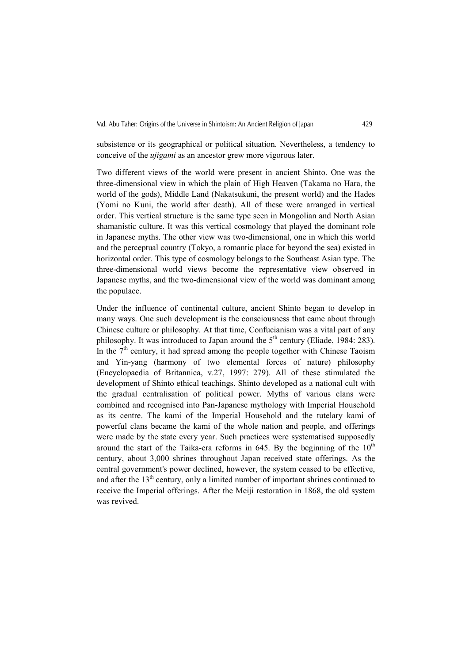subsistence or its geographical or political situation. Nevertheless, a tendency to conceive of the ujigami as an ancestor grew more vigorous later.

Two different views of the world were present in ancient Shinto. One was the three-dimensional view in which the plain of High Heaven (Takama no Hara, the world of the gods), Middle Land (Nakatsukuni, the present world) and the Hades (Yomi no Kuni, the world after death). All of these were arranged in vertical order. This vertical structure is the same type seen in Mongolian and North Asian shamanistic culture. It was this vertical cosmology that played the dominant role in Japanese myths. The other view was two-dimensional, one in which this world and the perceptual country (Tokyo, a romantic place for beyond the sea) existed in horizontal order. This type of cosmology belongs to the Southeast Asian type. The three-dimensional world views become the representative view observed in Japanese myths, and the two-dimensional view of the world was dominant among the populace.

Under the influence of continental culture, ancient Shinto began to develop in many ways. One such development is the consciousness that came about through Chinese culture or philosophy. At that time, Confucianism was a vital part of any philosophy. It was introduced to Japan around the  $5<sup>th</sup>$  century (Eliade, 1984: 283). In the  $7<sup>th</sup>$  century, it had spread among the people together with Chinese Taoism and Yin-yang (harmony of two elemental forces of nature) philosophy (Encyclopaedia of Britannica, v.27, 1997: 279). All of these stimulated the development of Shinto ethical teachings. Shinto developed as a national cult with the gradual centralisation of political power. Myths of various clans were combined and recognised into Pan-Japanese mythology with Imperial Household as its centre. The kami of the Imperial Household and the tutelary kami of powerful clans became the kami of the whole nation and people, and offerings were made by the state every year. Such practices were systematised supposedly around the start of the Taika-era reforms in 645. By the beginning of the  $10<sup>th</sup>$ century, about 3,000 shrines throughout Japan received state offerings. As the central government's power declined, however, the system ceased to be effective, and after the  $13<sup>th</sup>$  century, only a limited number of important shrines continued to receive the Imperial offerings. After the Meiji restoration in 1868, the old system was revived.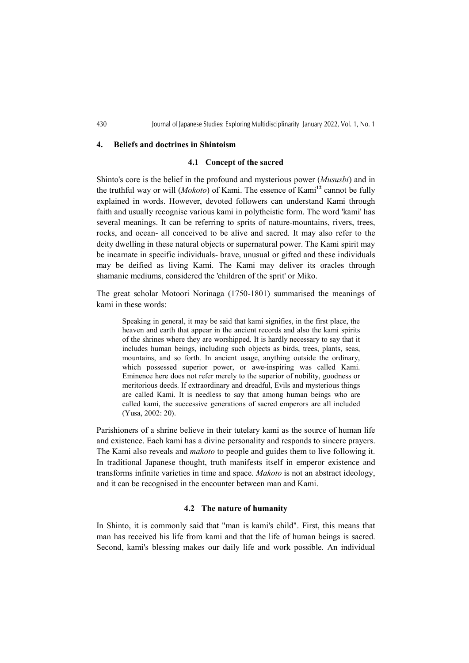#### 4. Beliefs and doctrines in Shintoism

# 4.1 Concept of the sacred

Shinto's core is the belief in the profound and mysterious power (Mususbi) and in the truthful way or will (*Mokoto*) of Kami. The essence of Kami<sup>12</sup> cannot be fully explained in words. However, devoted followers can understand Kami through faith and usually recognise various kami in polytheistic form. The word 'kami' has several meanings. It can be referring to sprits of nature-mountains, rivers, trees, rocks, and ocean- all conceived to be alive and sacred. It may also refer to the deity dwelling in these natural objects or supernatural power. The Kami spirit may be incarnate in specific individuals- brave, unusual or gifted and these individuals may be deified as living Kami. The Kami may deliver its oracles through shamanic mediums, considered the 'children of the sprit' or Miko.

The great scholar Motoori Norinaga (1750-1801) summarised the meanings of kami in these words:

Speaking in general, it may be said that kami signifies, in the first place, the heaven and earth that appear in the ancient records and also the kami spirits of the shrines where they are worshipped. It is hardly necessary to say that it includes human beings, including such objects as birds, trees, plants, seas, mountains, and so forth. In ancient usage, anything outside the ordinary, which possessed superior power, or awe-inspiring was called Kami. Eminence here does not refer merely to the superior of nobility, goodness or meritorious deeds. If extraordinary and dreadful, Evils and mysterious things are called Kami. It is needless to say that among human beings who are called kami, the successive generations of sacred emperors are all included (Yusa, 2002: 20).

Parishioners of a shrine believe in their tutelary kami as the source of human life and existence. Each kami has a divine personality and responds to sincere prayers. The Kami also reveals and makoto to people and guides them to live following it. In traditional Japanese thought, truth manifests itself in emperor existence and transforms infinite varieties in time and space. Makoto is not an abstract ideology, and it can be recognised in the encounter between man and Kami.

# 4.2 The nature of humanity

In Shinto, it is commonly said that "man is kami's child". First, this means that man has received his life from kami and that the life of human beings is sacred. Second, kami's blessing makes our daily life and work possible. An individual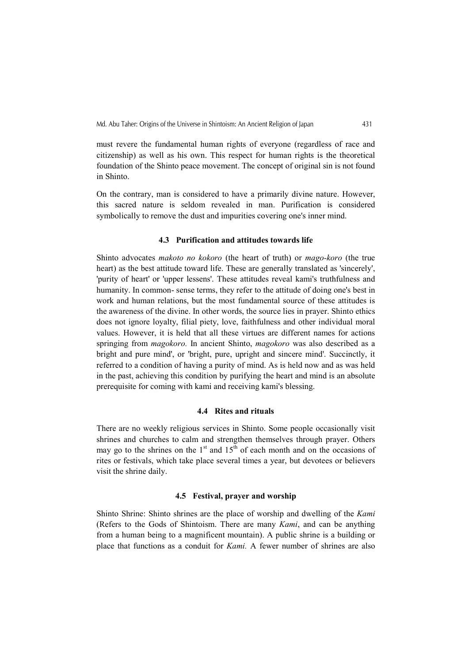must revere the fundamental human rights of everyone (regardless of race and citizenship) as well as his own. This respect for human rights is the theoretical foundation of the Shinto peace movement. The concept of original sin is not found in Shinto.

On the contrary, man is considered to have a primarily divine nature. However, this sacred nature is seldom revealed in man. Purification is considered symbolically to remove the dust and impurities covering one's inner mind.

# 4.3 Purification and attitudes towards life

Shinto advocates makoto no kokoro (the heart of truth) or mago-koro (the true heart) as the best attitude toward life. These are generally translated as 'sincerely', 'purity of heart' or 'upper lessens'. These attitudes reveal kami's truthfulness and humanity. In common- sense terms, they refer to the attitude of doing one's best in work and human relations, but the most fundamental source of these attitudes is the awareness of the divine. In other words, the source lies in prayer. Shinto ethics does not ignore loyalty, filial piety, love, faithfulness and other individual moral values. However, it is held that all these virtues are different names for actions springing from *magokoro*. In ancient Shinto, *magokoro* was also described as a bright and pure mind', or 'bright, pure, upright and sincere mind'. Succinctly, it referred to a condition of having a purity of mind. As is held now and as was held in the past, achieving this condition by purifying the heart and mind is an absolute prerequisite for coming with kami and receiving kami's blessing.

#### 4.4 Rites and rituals

There are no weekly religious services in Shinto. Some people occasionally visit shrines and churches to calm and strengthen themselves through prayer. Others may go to the shrines on the  $1<sup>st</sup>$  and  $15<sup>th</sup>$  of each month and on the occasions of rites or festivals, which take place several times a year, but devotees or believers visit the shrine daily.

### 4.5 Festival, prayer and worship

Shinto Shrine: Shinto shrines are the place of worship and dwelling of the Kami (Refers to the Gods of Shintoism. There are many Kami, and can be anything from a human being to a magnificent mountain). A public shrine is a building or place that functions as a conduit for Kami. A fewer number of shrines are also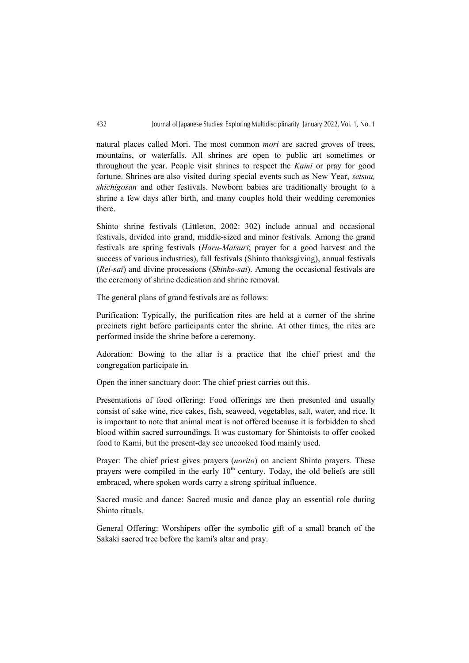natural places called Mori. The most common mori are sacred groves of trees, mountains, or waterfalls. All shrines are open to public art sometimes or throughout the year. People visit shrines to respect the Kami or pray for good fortune. Shrines are also visited during special events such as New Year, setsuu, shichigosan and other festivals. Newborn babies are traditionally brought to a shrine a few days after birth, and many couples hold their wedding ceremonies there.

Shinto shrine festivals (Littleton, 2002: 302) include annual and occasional festivals, divided into grand, middle-sized and minor festivals. Among the grand festivals are spring festivals (Haru-Matsuri; prayer for a good harvest and the success of various industries), fall festivals (Shinto thanksgiving), annual festivals (Rei-sai) and divine processions (Shinko-sai). Among the occasional festivals are the ceremony of shrine dedication and shrine removal.

The general plans of grand festivals are as follows:

Purification: Typically, the purification rites are held at a corner of the shrine precincts right before participants enter the shrine. At other times, the rites are performed inside the shrine before a ceremony.

Adoration: Bowing to the altar is a practice that the chief priest and the congregation participate in.

Open the inner sanctuary door: The chief priest carries out this.

Presentations of food offering: Food offerings are then presented and usually consist of sake wine, rice cakes, fish, seaweed, vegetables, salt, water, and rice. It is important to note that animal meat is not offered because it is forbidden to shed blood within sacred surroundings. It was customary for Shintoists to offer cooked food to Kami, but the present-day see uncooked food mainly used.

Prayer: The chief priest gives prayers (norito) on ancient Shinto prayers. These prayers were compiled in the early  $10<sup>th</sup>$  century. Today, the old beliefs are still embraced, where spoken words carry a strong spiritual influence.

Sacred music and dance: Sacred music and dance play an essential role during Shinto rituals.

General Offering: Worshipers offer the symbolic gift of a small branch of the Sakaki sacred tree before the kami's altar and pray.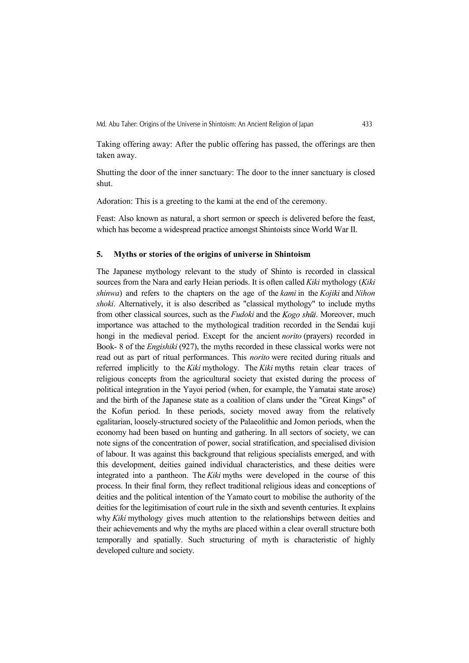Taking offering away: After the public offering has passed, the offerings are then taken away.

Shutting the door of the inner sanctuary: The door to the inner sanctuary is closed shut.

Adoration: This is a greeting to the kami at the end of the ceremony.

Feast: Also known as natural, a short sermon or speech is delivered before the feast, which has become a widespread practice amongst Shintoists since World War II.

# 5. Myths or stories of the origins of universe in Shintoism

The Japanese mythology relevant to the study of Shinto is recorded in classical sources from the Nara and early Heian periods. It is often called *Kiki* mythology (*Kiki* shinwa) and refers to the chapters on the age of the kami in the Kojiki and Nihon shoki. Alternatively, it is also described as "classical mythology" to include myths from other classical sources, such as the *Fudoki* and the *Kogo shūi*. Moreover, much importance was attached to the mythological tradition recorded in the Sendai kuji hongi in the medieval period. Except for the ancient *norito* (prayers) recorded in Book- 8 of the Engishiki (927), the myths recorded in these classical works were not read out as part of ritual performances. This norito were recited during rituals and referred implicitly to the Kiki mythology. The Kiki myths retain clear traces of religious concepts from the agricultural society that existed during the process of political integration in the Yayoi period (when, for example, the Yamatai state arose) and the birth of the Japanese state as a coalition of clans under the "Great Kings" of the Kofun period. In these periods, society moved away from the relatively egalitarian, loosely-structured society of the Palaeolithic and Jomon periods, when the economy had been based on hunting and gathering. In all sectors of society, we can note signs of the concentration of power, social stratification, and specialised division of labour. It was against this background that religious specialists emerged, and with this development, deities gained individual characteristics, and these deities were integrated into a pantheon. The Kiki myths were developed in the course of this process. In their final form, they reflect traditional religious ideas and conceptions of deities and the political intention of the Yamato court to mobilise the authority of the deities for the legitimisation of court rule in the sixth and seventh centuries. It explains why Kiki mythology gives much attention to the relationships between deities and their achievements and why the myths are placed within a clear overall structure both temporally and spatially. Such structuring of myth is characteristic of highly developed culture and society.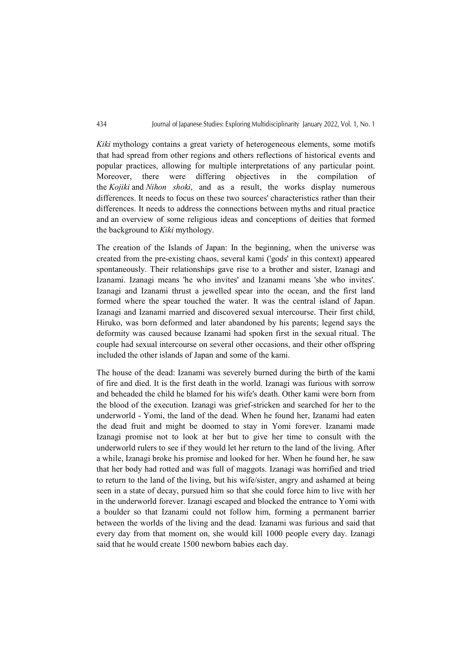Kiki mythology contains a great variety of heterogeneous elements, some motifs that had spread from other regions and others reflections of historical events and popular practices, allowing for multiple interpretations of any particular point. Moreover, there were differing objectives in the compilation the Kojiki and Nihon shoki, and as a result, the works display numerous differences. It needs to focus on these two sources' characteristics rather than their differences. It needs to address the connections between myths and ritual practice and an overview of some religious ideas and conceptions of deities that formed the background to Kiki mythology.

The creation of the Islands of Japan: In the beginning, when the universe was created from the pre-existing chaos, several kami ('gods' in this context) appeared spontaneously. Their relationships gave rise to a brother and sister, Izanagi and Izanami. Izanagi means 'he who invites' and Izanami means 'she who invites'. Izanagi and Izanami thrust a jewelled spear into the ocean, and the first land formed where the spear touched the water. It was the central island of Japan. Izanagi and Izanami married and discovered sexual intercourse. Their first child, Hiruko, was born deformed and later abandoned by his parents; legend says the deformity was caused because Izanami had spoken first in the sexual ritual. The couple had sexual intercourse on several other occasions, and their other offspring included the other islands of Japan and some of the kami.

The house of the dead: Izanami was severely burned during the birth of the kami of fire and died. It is the first death in the world. Izanagi was furious with sorrow and beheaded the child he blamed for his wife's death. Other kami were born from the blood of the execution. Izanagi was grief-stricken and searched for her to the underworld - Yomi, the land of the dead. When he found her, Izanami had eaten the dead fruit and might be doomed to stay in Yomi forever. Izanami made Izanagi promise not to look at her but to give her time to consult with the underworld rulers to see if they would let her return to the land of the living. After a while, Izanagi broke his promise and looked for her. When he found her, he saw that her body had rotted and was full of maggots. Izanagi was horrified and tried to return to the land of the living, but his wife/sister, angry and ashamed at being seen in a state of decay, pursued him so that she could force him to live with her in the underworld forever. Izanagi escaped and blocked the entrance to Yomi with a boulder so that Izanami could not follow him, forming a permanent barrier between the worlds of the living and the dead. Izanami was furious and said that every day from that moment on, she would kill 1000 people every day. Izanagi said that he would create 1500 newborn babies each day.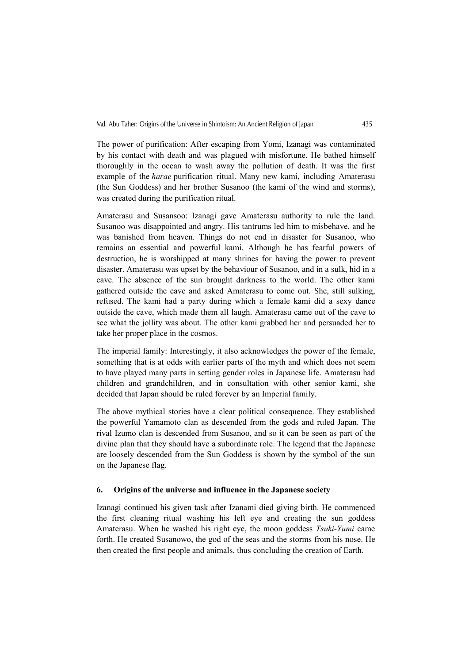The power of purification: After escaping from Yomi, Izanagi was contaminated by his contact with death and was plagued with misfortune. He bathed himself thoroughly in the ocean to wash away the pollution of death. It was the first example of the *harae* purification ritual. Many new kami, including Amaterasu (the Sun Goddess) and her brother Susanoo (the kami of the wind and storms), was created during the purification ritual.

Amaterasu and Susansoo: Izanagi gave Amaterasu authority to rule the land. Susanoo was disappointed and angry. His tantrums led him to misbehave, and he was banished from heaven. Things do not end in disaster for Susanoo, who remains an essential and powerful kami. Although he has fearful powers of destruction, he is worshipped at many shrines for having the power to prevent disaster. Amaterasu was upset by the behaviour of Susanoo, and in a sulk, hid in a cave. The absence of the sun brought darkness to the world. The other kami gathered outside the cave and asked Amaterasu to come out. She, still sulking, refused. The kami had a party during which a female kami did a sexy dance outside the cave, which made them all laugh. Amaterasu came out of the cave to see what the jollity was about. The other kami grabbed her and persuaded her to take her proper place in the cosmos.

The imperial family: Interestingly, it also acknowledges the power of the female, something that is at odds with earlier parts of the myth and which does not seem to have played many parts in setting gender roles in Japanese life. Amaterasu had children and grandchildren, and in consultation with other senior kami, she decided that Japan should be ruled forever by an Imperial family.

The above mythical stories have a clear political consequence. They established the powerful Yamamoto clan as descended from the gods and ruled Japan. The rival Izumo clan is descended from Susanoo, and so it can be seen as part of the divine plan that they should have a subordinate role. The legend that the Japanese are loosely descended from the Sun Goddess is shown by the symbol of the sun on the Japanese flag.

#### 6. Origins of the universe and influence in the Japanese society

Izanagi continued his given task after Izanami died giving birth. He commenced the first cleaning ritual washing his left eye and creating the sun goddess Amaterasu. When he washed his right eye, the moon goddess Tsuki-Yumi came forth. He created Susanowo, the god of the seas and the storms from his nose. He then created the first people and animals, thus concluding the creation of Earth.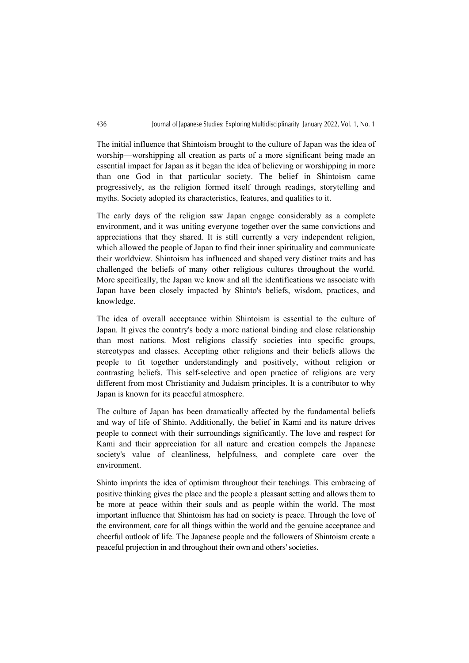The initial influence that Shintoism brought to the culture of Japan was the idea of worship—worshipping all creation as parts of a more significant being made an essential impact for Japan as it began the idea of believing or worshipping in more than one God in that particular society. The belief in Shintoism came progressively, as the religion formed itself through readings, storytelling and myths. Society adopted its characteristics, features, and qualities to it.

The early days of the religion saw Japan engage considerably as a complete environment, and it was uniting everyone together over the same convictions and appreciations that they shared. It is still currently a very independent religion, which allowed the people of Japan to find their inner spirituality and communicate their worldview. Shintoism has influenced and shaped very distinct traits and has challenged the beliefs of many other religious cultures throughout the world. More specifically, the Japan we know and all the identifications we associate with Japan have been closely impacted by Shinto's beliefs, wisdom, practices, and knowledge.

The idea of overall acceptance within Shintoism is essential to the culture of Japan. It gives the country's body a more national binding and close relationship than most nations. Most religions classify societies into specific groups, stereotypes and classes. Accepting other religions and their beliefs allows the people to fit together understandingly and positively, without religion or contrasting beliefs. This self-selective and open practice of religions are very different from most Christianity and Judaism principles. It is a contributor to why Japan is known for its peaceful atmosphere.

The culture of Japan has been dramatically affected by the fundamental beliefs and way of life of Shinto. Additionally, the belief in Kami and its nature drives people to connect with their surroundings significantly. The love and respect for Kami and their appreciation for all nature and creation compels the Japanese society's value of cleanliness, helpfulness, and complete care over the environment.

Shinto imprints the idea of optimism throughout their teachings. This embracing of positive thinking gives the place and the people a pleasant setting and allows them to be more at peace within their souls and as people within the world. The most important influence that Shintoism has had on society is peace. Through the love of the environment, care for all things within the world and the genuine acceptance and cheerful outlook of life. The Japanese people and the followers of Shintoism create a peaceful projection in and throughout their own and others' societies.